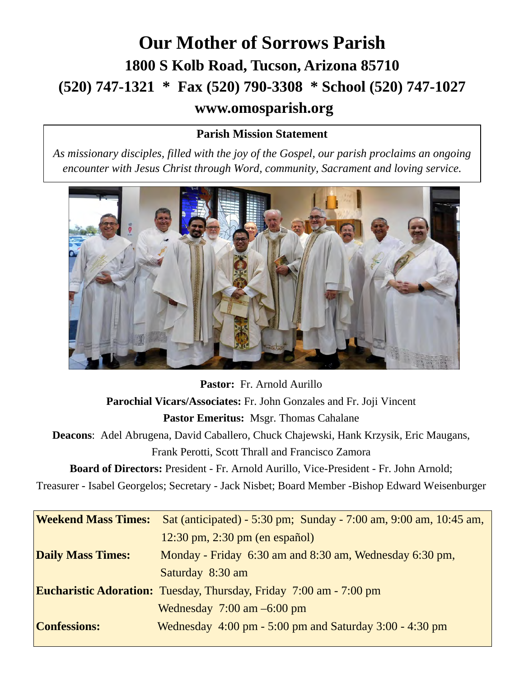## **Our Mother of Sorrows Parish 1800 S Kolb Road, Tucson, Arizona 85710 (520) 747-1321 \* Fax (520) 790-3308 \* School (520) 747-1027 www.omosparish.org**

### **Parish Mission Statement**

*As missionary disciples, filled with the joy of the Gospel, our parish proclaims an ongoing encounter with Jesus Christ through Word, community, Sacrament and loving service.* 



**Pastor:** Fr. Arnold Aurillo **Parochial Vicars/Associates:** Fr. John Gonzales and Fr. Joji Vincent **Pastor Emeritus:** Msgr. Thomas Cahalane **Deacons**: Adel Abrugena, David Caballero, Chuck Chajewski, Hank Krzysik, Eric Maugans, Frank Perotti, Scott Thrall and Francisco Zamora **Board of Directors:** President - Fr. Arnold Aurillo, Vice-President - Fr. John Arnold; Treasurer - Isabel Georgelos; Secretary - Jack Nisbet; Board Member -Bishop Edward Weisenburger **Weekend Mass Times:** Sat (anticipated) - 5:30 pm; Sunday - 7:00 am, 9:00 am, 10:45 am, 12:30 pm, 2:30 pm (en español) **Daily Mass Times:** Monday - Friday 6:30 am and 8:30 am, Wednesday 6:30 pm, Saturday 8:30 am **Eucharistic Adoration:** Tuesday, Thursday, Friday 7:00 am - 7:00 pm

 Wednesday 7:00 am –6:00 pm **Confessions:** Wednesday 4:00 pm - 5:00 pm and Saturday 3:00 - 4:30 pm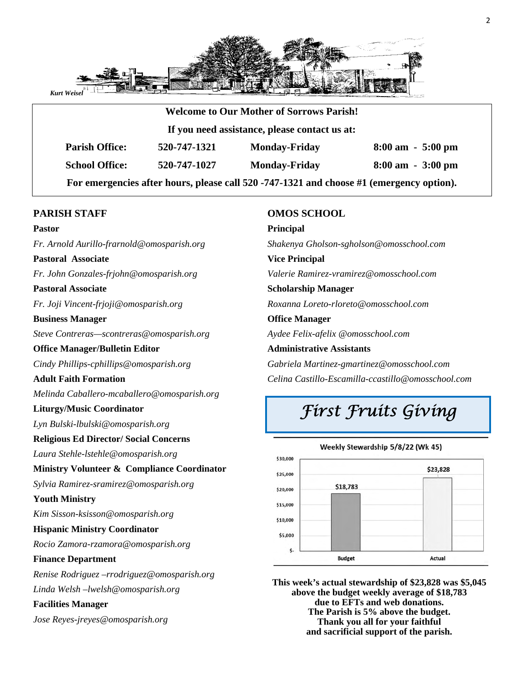

|                                               |              | <b>Welcome to Our Mother of Sorrows Parish!</b> |                                     |  |
|-----------------------------------------------|--------------|-------------------------------------------------|-------------------------------------|--|
| If you need assistance, please contact us at: |              |                                                 |                                     |  |
| <b>Parish Office:</b>                         | 520-747-1321 | <b>Monday-Friday</b>                            | $8:00 \text{ am } -5:00 \text{ pm}$ |  |
| <b>School Office:</b>                         | 520-747-1027 | <b>Monday-Friday</b>                            | $8:00 \text{ am } -3:00 \text{ pm}$ |  |

#### **PARISH STAFF**

#### **Pastor**

*Fr. Arnold Aurillo-frarnold@omosparish.org* 

### **Pastoral Associate**

*Fr. John Gonzales-frjohn@omosparish.org* 

#### **Pastoral Associate**

*Fr. Joji Vincent-frjoji@omosparish.org*

#### **Business Manager**

*Steve Contreras—scontreras@omosparish.org* 

#### **Office Manager/Bulletin Editor**

*Cindy Phillips-cphillips@omosparish.org* 

#### **Adult Faith Formation**

*Melinda Caballero-mcaballero@omosparish.org* 

#### **Liturgy/Music Coordinator**

*Lyn Bulski-lbulski@omosparish.org* 

#### **Religious Ed Director/ Social Concerns**

*Laura Stehle-lstehle@omosparish.org*

#### **Ministry Volunteer & Compliance Coordinator**

*Sylvia Ramirez-sramirez@omosparish.org*

#### **Youth Ministry**

*Kim Sisson-ksisson@omosparish.org* 

#### **Hispanic Ministry Coordinator**

*Rocio Zamora-rzamora@omosparish.org* 

#### **Finance Department**

*Renise Rodriguez –rrodriguez@omosparish.org Linda Welsh –lwelsh@omosparish.org* 

#### **Facilities Manager**

*Jose Reyes-jreyes@omosparish.org* 

#### **OMOS SCHOOL**

**Principal** *Shakenya Gholson-sgholson@omosschool.com*  **Vice Principal** *Valerie Ramirez-vramirez@omosschool.com*  **Scholarship Manager** *Roxanna Loreto-rloreto@omosschool.com*  **Office Manager**  *Aydee Felix-afelix @omosschool.com*  **Administrative Assistants** *Gabriela Martinez-gmartinez@omosschool.com Celina Castillo-Escamilla-ccastillo@omosschool.com* 

# *First Fruits Giving*



**This week's actual stewardship of \$23,828 was \$5,045 above the budget weekly average of \$18,783 due to EFTs and web donations. The Parish is 5% above the budget. Thank you all for your faithful and sacrificial support of the parish.**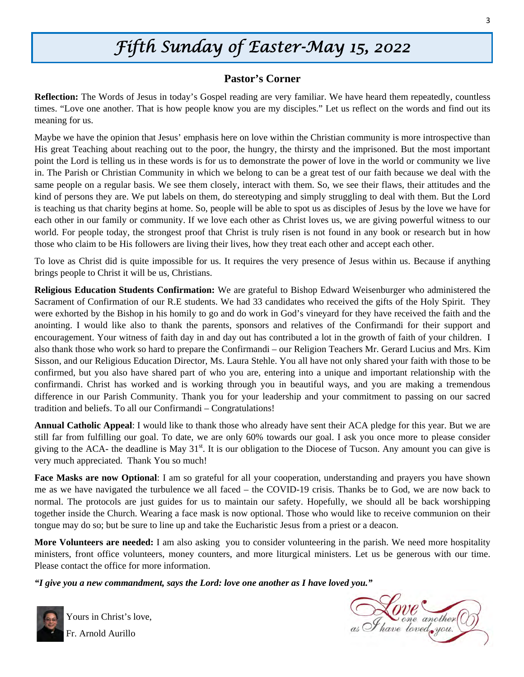## *Fifth Sunday of Easter-May 15, 2022*

#### **Pastor's Corner**

**Reflection:** The Words of Jesus in today's Gospel reading are very familiar. We have heard them repeatedly, countless times. "Love one another. That is how people know you are my disciples." Let us reflect on the words and find out its meaning for us.

Maybe we have the opinion that Jesus' emphasis here on love within the Christian community is more introspective than His great Teaching about reaching out to the poor, the hungry, the thirsty and the imprisoned. But the most important point the Lord is telling us in these words is for us to demonstrate the power of love in the world or community we live in. The Parish or Christian Community in which we belong to can be a great test of our faith because we deal with the same people on a regular basis. We see them closely, interact with them. So, we see their flaws, their attitudes and the kind of persons they are. We put labels on them, do stereotyping and simply struggling to deal with them. But the Lord is teaching us that charity begins at home. So, people will be able to spot us as disciples of Jesus by the love we have for each other in our family or community. If we love each other as Christ loves us, we are giving powerful witness to our world. For people today, the strongest proof that Christ is truly risen is not found in any book or research but in how those who claim to be His followers are living their lives, how they treat each other and accept each other.

To love as Christ did is quite impossible for us. It requires the very presence of Jesus within us. Because if anything brings people to Christ it will be us, Christians.

**Religious Education Students Confirmation:** We are grateful to Bishop Edward Weisenburger who administered the Sacrament of Confirmation of our R.E students. We had 33 candidates who received the gifts of the Holy Spirit. They were exhorted by the Bishop in his homily to go and do work in God's vineyard for they have received the faith and the anointing. I would like also to thank the parents, sponsors and relatives of the Confirmandi for their support and encouragement. Your witness of faith day in and day out has contributed a lot in the growth of faith of your children. I also thank those who work so hard to prepare the Confirmandi – our Religion Teachers Mr. Gerard Lucius and Mrs. Kim Sisson, and our Religious Education Director, Ms. Laura Stehle. You all have not only shared your faith with those to be confirmed, but you also have shared part of who you are, entering into a unique and important relationship with the confirmandi. Christ has worked and is working through you in beautiful ways, and you are making a tremendous difference in our Parish Community. Thank you for your leadership and your commitment to passing on our sacred tradition and beliefs. To all our Confirmandi – Congratulations!

**Annual Catholic Appeal**: I would like to thank those who already have sent their ACA pledge for this year. But we are still far from fulfilling our goal. To date, we are only 60% towards our goal. I ask you once more to please consider giving to the ACA- the deadline is May  $31<sup>st</sup>$ . It is our obligation to the Diocese of Tucson. Any amount you can give is very much appreciated. Thank You so much!

**Face Masks are now Optional**: I am so grateful for all your cooperation, understanding and prayers you have shown me as we have navigated the turbulence we all faced – the COVID-19 crisis. Thanks be to God, we are now back to normal. The protocols are just guides for us to maintain our safety. Hopefully, we should all be back worshipping together inside the Church. Wearing a face mask is now optional. Those who would like to receive communion on their tongue may do so; but be sure to line up and take the Eucharistic Jesus from a priest or a deacon.

**More Volunteers are needed:** I am also asking you to consider volunteering in the parish. We need more hospitality ministers, front office volunteers, money counters, and more liturgical ministers. Let us be generous with our time. Please contact the office for more information.

*"I give you a new commandment, says the Lord: love one another as I have loved you."* 



Yours in Christ's love, Fr. Arnold Aurillo

NOVE another ()<br>as I have loved you.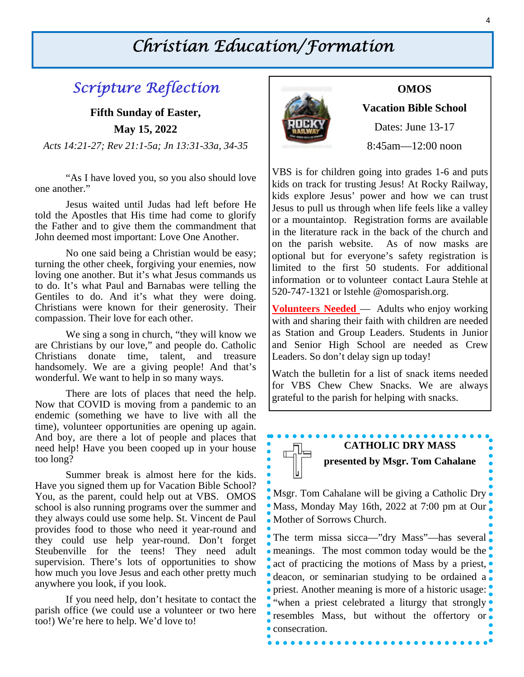## *Christian Education/Formation*

## *Scripture Reflection*

**Fifth Sunday of Easter, May 15, 2022**  *Acts 14:21-27; Rev 21:1-5a; Jn 13:31-33a, 34-35* 

 "As I have loved you, so you also should love one another."

 Jesus waited until Judas had left before He told the Apostles that His time had come to glorify the Father and to give them the commandment that John deemed most important: Love One Another.

 No one said being a Christian would be easy; turning the other cheek, forgiving your enemies, now loving one another. But it's what Jesus commands us to do. It's what Paul and Barnabas were telling the Gentiles to do. And it's what they were doing. Christians were known for their generosity. Their compassion. Their love for each other.

 We sing a song in church, "they will know we are Christians by our love," and people do. Catholic Christians donate time, talent, and treasure handsomely. We are a giving people! And that's wonderful. We want to help in so many ways.

There are lots of places that need the help. Now that COVID is moving from a pandemic to an endemic (something we have to live with all the time), volunteer opportunities are opening up again. And boy, are there a lot of people and places that need help! Have you been cooped up in your house too long?

Summer break is almost here for the kids. Have you signed them up for Vacation Bible School? You, as the parent, could help out at VBS. OMOS school is also running programs over the summer and they always could use some help. St. Vincent de Paul provides food to those who need it year-round and they could use help year-round. Don't forget Steubenville for the teens! They need adult supervision. There's lots of opportunities to show how much you love Jesus and each other pretty much anywhere you look, if you look.

If you need help, don't hesitate to contact the parish office (we could use a volunteer or two here too!) We're here to help. We'd love to!



#### **OMOS**

**Vacation Bible School** 

Dates: June 13-17

8:45am—12:00 noon

VBS is for children going into grades 1-6 and puts kids on track for trusting Jesus! At Rocky Railway, kids explore Jesus' power and how we can trust Jesus to pull us through when life feels like a valley or a mountaintop. Registration forms are available in the literature rack in the back of the church and on the parish website. As of now masks are optional but for everyone's safety registration is limited to the first 50 students. For additional information or to volunteer contact Laura Stehle at 520-747-1321 or lstehle @omosparish.org.

**Volunteers Needed** — Adults who enjoy working with and sharing their faith with children are needed as Station and Group Leaders. Students in Junior and Senior High School are needed as Crew Leaders. So don't delay sign up today!

Watch the bulletin for a list of snack items needed for VBS Chew Chew Snacks. We are always grateful to the parish for helping with snacks.

## **CATHOLIC DRY MASS presented by Msgr. Tom Cahalane**

Msgr. Tom Cahalane will be giving a Catholic Dry Mass, Monday May 16th, 2022 at 7:00 pm at Our Mother of Sorrows Church.

The term missa sicca—"dry Mass"—has several • meanings. The most common today would be the act of practicing the motions of Mass by a priest, deacon, or seminarian studying to be ordained a priest. Another meaning is more of a historic usage: "when a priest celebrated a liturgy that strongly" resembles Mass, but without the offertory or • consecration.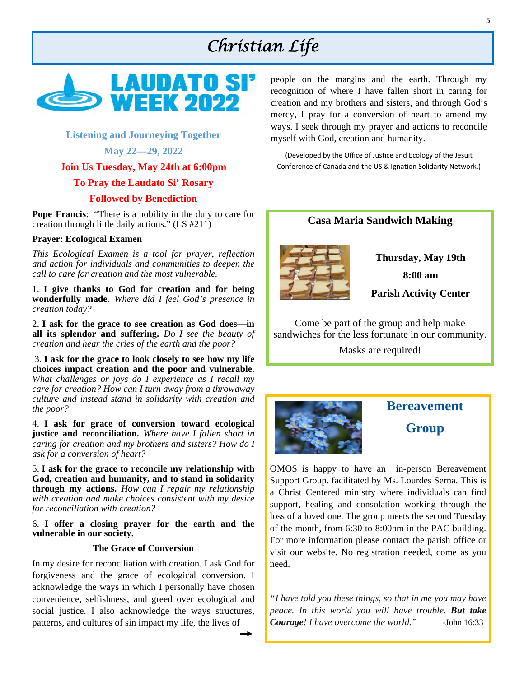## *Christian Life*



#### **Listening and Journeying Together**

**May 22—29, 2022** 

**Join Us Tuesday, May 24th at 6:00pm** 

#### **To Pray the Laudato Si' Rosary**

#### **Followed by Benediction**

**Pope Francis:** "There is a nobility in the duty to care for creation through little daily actions." (LS #211)

#### **Prayer: Ecological Examen**

*This Ecological Examen is a tool for prayer, reflection and action for individuals and communities to deepen the call to care for creation and the most vulnerable.* 

1. **I give thanks to God for creation and for being wonderfully made.** *Where did I feel God's presence in creation today?* 

2. **I ask for the grace to see creation as God does—in all its splendor and suffering.** *Do I see the beauty of creation and hear the cries of the earth and the poor?* 

3. **I ask for the grace to look closely to see how my life choices impact creation and the poor and vulnerable.**  *What challenges or joys do I experience as I recall my care for creation? How can I turn away from a throwaway culture and instead stand in solidarity with creation and the poor?*

4. **I ask for grace of conversion toward ecological justice and reconciliation.** *Where have I fallen short in caring for creation and my brothers and sisters? How do I ask for a conversion of heart?* 

5. **I ask for the grace to reconcile my relationship with God, creation and humanity, and to stand in solidarity through my actions.** *How can I repair my relationship with creation and make choices consistent with my desire for reconciliation with creation?*

6. **I offer a closing prayer for the earth and the vulnerable in our society.** 

#### **The Grace of Conversion**

In my desire for reconciliation with creation. I ask God for forgiveness and the grace of ecological conversion. I acknowledge the ways in which I personally have chosen convenience, selfishness, and greed over ecological and social justice. I also acknowledge the ways structures, patterns, and cultures of sin impact my life, the lives of

people on the margins and the earth. Through my recognition of where I have fallen short in caring for creation and my brothers and sisters, and through God's mercy, I pray for a conversion of heart to amend my ways. I seek through my prayer and actions to reconcile myself with God, creation and humanity.

(Developed by the Office of Justice and Ecology of the Jesuit Conference of Canada and the US & Ignation Solidarity Network.)



Come be part of the group and help make sandwiches for the less fortunate in our community.

Masks are required!



## **Bereavement Group**

OMOS is happy to have an in-person Bereavement Support Group. facilitated by Ms. Lourdes Serna. This is a Christ Centered ministry where individuals can find support, healing and consolation working through the loss of a loved one. The group meets the second Tuesday of the month, from 6:30 to 8:00pm in the PAC building. For more information please contact the parish office or visit our website. No registration needed, come as you need.

*"I have told you these things, so that in me you may have peace. In this world you will have trouble. But take Courage! I have overcome the world." -*John 16:33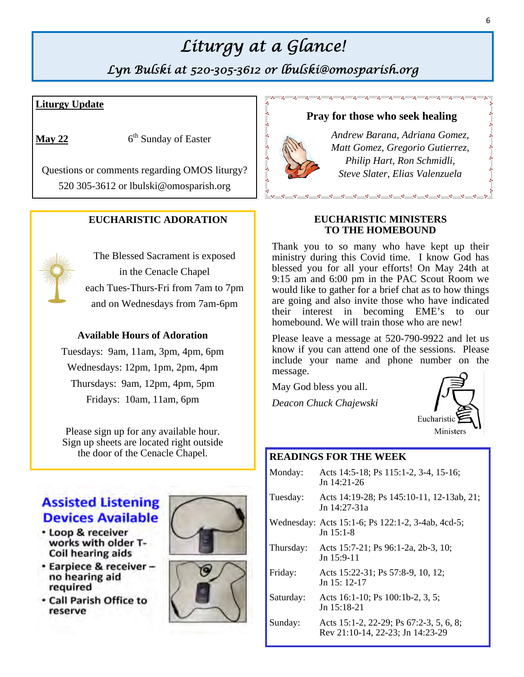## *Liturgy at a Glance!*

*Lyn Bulski at 520-305-3612 or lbulski@omosparish.org* 

 $-8 - 8 - 8 - 8 - 8 - 8 - 8$ 

#### **Liturgy Update**

**May 22**  $6^{\text{th}}$  Sunday of Easter

Questions or comments regarding OMOS liturgy? 520 305-3612 or lbulski@omosparish.org

#### **EUCHARISTIC ADORATION**



The Blessed Sacrament is exposed in the Cenacle Chapel each Tues-Thurs-Fri from 7am to 7pm and on Wednesdays from 7am-6pm

#### **Available Hours of Adoration**

Tuesdays: 9am, 11am, 3pm, 4pm, 6pm Wednesdays: 12pm, 1pm, 2pm, 4pm Thursdays: 9am, 12pm, 4pm, 5pm Fridays: 10am, 11am, 6pm

Please sign up for any available hour. Sign up sheets are located right outside the door of the Cenacle Chapel. **READINGS FOR THE WEEK** 

### **Assisted Listening Devices Available**

- · Loop & receiver works with older T-Coil hearing aids
- Earpiece & receiverno hearing aid required
- . Call Parish Office to reserve





#### **Pray for those who seek healing**

*Andrew Barana, Adriana Gomez, Matt Gomez, Gregorio Gutierrez, Philip Hart, Ron Schmidli, Steve Slater, Elias Valenzuela* 

#### **EUCHARISTIC MINISTERS TO THE HOMEBOUND**

Thank you to so many who have kept up their ministry during this Covid time. I know God has blessed you for all your efforts! On May 24th at 9:15 am and 6:00 pm in the PAC Scout Room we would like to gather for a brief chat as to how things are going and also invite those who have indicated their interest in becoming EME's to our homebound. We will train those who are new!

Please leave a message at 520-790-9922 and let us know if you can attend one of the sessions. Please include your name and phone number on the message.

May God bless you all.

*Deacon Chuck Chajewski* 



| Monday:   | Acts 14:5-18; Ps 115:1-2, 3-4, 15-16;<br>$Jn$ 14:21-26                      |
|-----------|-----------------------------------------------------------------------------|
| Tuesday:  | Acts 14:19-28; Ps 145:10-11, 12-13ab, 21;<br>$\ln 14:27-31a$                |
|           | Wednesday: Acts 15:1-6; Ps 122:1-2, 3-4ab, 4cd-5;<br>$Jn$ 15:1-8            |
| Thursday: | Acts 15:7-21; Ps 96:1-2a, 2b-3, 10;<br>$Jn$ 15:9-11                         |
| Friday:   | Acts 15:22-31; Ps 57:8-9, 10, 12;<br>$Jn$ 15: 12-17                         |
| Saturday: | Acts 16:1-10; Ps 100:1b-2, 3, 5;<br>$Jn$ 15:18-21                           |
| Sunday:   | Acts 15:1-2, 22-29; Ps 67:2-3, 5, 6, 8;<br>Rev 21:10-14, 22-23; Jn 14:23-29 |
|           |                                                                             |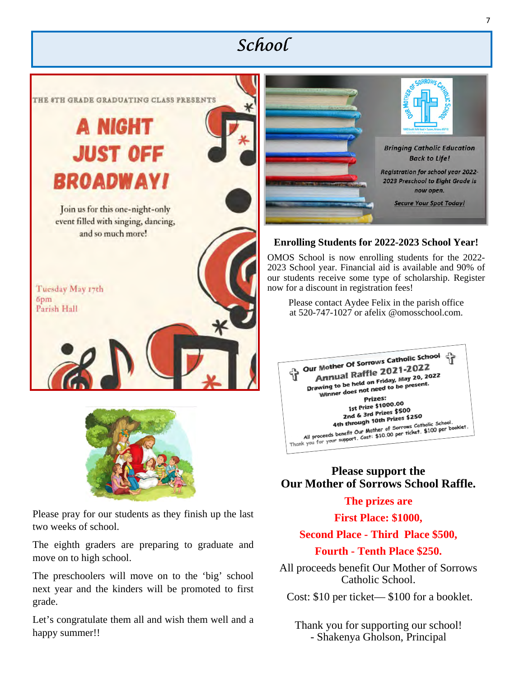## *School*





Please pray for our students as they finish up the last two weeks of school.

The eighth graders are preparing to graduate and move on to high school.

The preschoolers will move on to the 'big' school next year and the kinders will be promoted to first grade.

Let's congratulate them all and wish them well and a happy summer!!



#### **Enrolling Students for 2022-2023 School Year!**

OMOS School is now enrolling students for the 2022- 2023 School year. Financial aid is available and 90% of our students receive some type of scholarship. Register now for a discount in registration fees!

Please contact Aydee Felix in the parish office at 520-747-1027 or afelix @omosschool.com.



### **Please support the Our Mother of Sorrows School Raffle.**

### **The prizes are**

#### **First Place: \$1000,**

## **Second Place - Third Place \$500,**

### **Fourth - Tenth Place \$250.**

All proceeds benefit Our Mother of Sorrows Catholic School.

Cost: \$10 per ticket— \$100 for a booklet.

Thank you for supporting our school! - Shakenya Gholson, Principal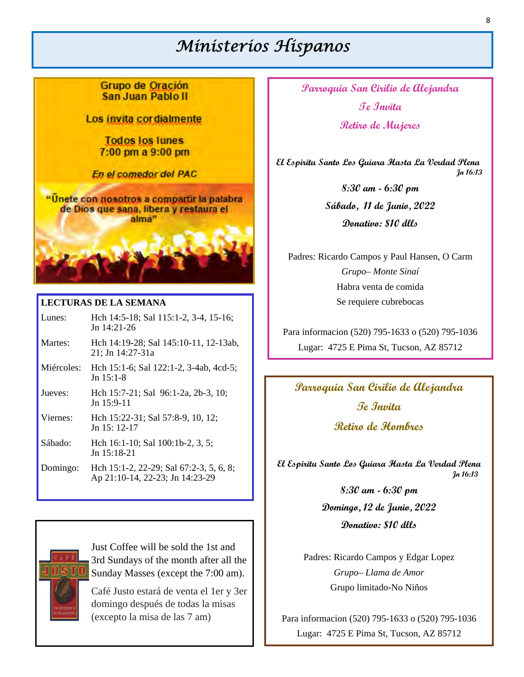## *Ministerios Hispanos*

Grupo de Oración San Juan Pablo II

Los invita cordialmente

**Todos los lunes**  $7:00$  pm a  $9:00$  pm

En el comedor del PAC

"Unete con nosotros a compartir la palabra de Dios que sana, libera y restaura el alma"

#### **LECTURAS DE LA SEMANA**

| Lunes: | Hch 14:5-18; Sal 115:1-2, 3-4, 15-16; |
|--------|---------------------------------------|
|        | Jn $14:21-26$                         |

- Martes: Hch 14:19-28; Sal 145:10-11, 12-13ab, 21; Jn 14:27-31a
- Miércoles: Hch 15:1-6; Sal 122:1-2, 3-4ab, 4cd-5; Jn 15:1-8
- Jueves: Hch 15:7-21; Sal 96:1-2a, 2b-3, 10; Jn 15:9-11
- Viernes: Hch 15:22-31; Sal 57:8-9, 10, 12; Jn 15: 12-17
- Sábado: Hch 16:1-10; Sal 100:1b-2, 3, 5; Jn 15:18-21
- Domingo: Hch 15:1-2, 22-29; Sal 67:2-3, 5, 6, 8; Ap 21:10-14, 22-23; Jn 14:23-29

Just Coffee will be sold the 1st and 3rd Sundays of the month after all the Sunday Masses (except the 7:00 am).

Café Justo estará de venta el 1er y 3er domingo después de todas la misas (excepto la misa de las 7 am)

**Parroquia San Cirilio de Alejandra Te Invita Retiro de Mujeres** 

 **El Espiritu Santo Los Guiara Hasta La Verdad Plena Jn 16:13**

> **8:30 am - 6:30 pm Sábado, 11 de Junio, 2022 Donativo: \$10 dlls**

Padres: Ricardo Campos y Paul Hansen, O Carm *Grupo– Monte Sinaí*  Habra venta de comida Se requiere cubrebocas

Para informacion (520) 795-1633 o (520) 795-1036 Lugar: 4725 E Pima St, Tucson, AZ 85712

## **Parroquia San Cirilio de Alejandra Te Invita Retiro de Hombres**

**El Espiritu Santo Los Guiara Hasta La Verdad Plena Jn 16:13**

> **8:30 am - 6:30 pm Domingo, 12 de Junio, 2022 Donativo: \$10 dlls**

Padres: Ricardo Campos y Edgar Lopez *Grupo– Llama de Amor*  Grupo limitado-No Niños

Para informacion (520) 795-1633 o (520) 795-1036 Lugar: 4725 E Pima St, Tucson, AZ 85712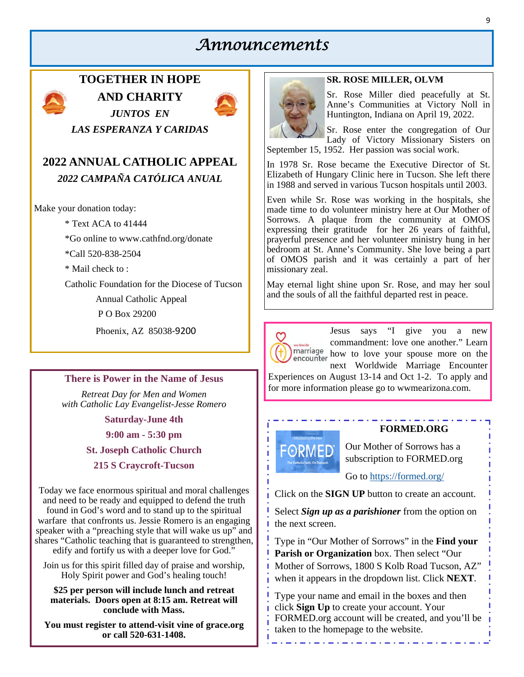### *Announcements*



**TOGETHER IN HOPE AND CHARITY**  *JUNTOS EN* 



*LAS ESPERANZA Y CARIDAS* 

### **2022 ANNUAL CATHOLIC APPEAL**  *2022 CAMPAÑA CATÓLICA ANUAL*

Make your donation today:

\* Text ACA to 41444

\*Go online to www.cathfnd.org/donate

\*Call 520-838-2504

\* Mail check to :

Catholic Foundation for the Diocese of Tucson

Annual Catholic Appeal

P O Box 29200

Phoenix, AZ 85038‐9200

#### **There is Power in the Name of Jesus**

*Retreat Day for Men and Women with Catholic Lay Evangelist-Jesse Romero* 

**Saturday-June 4th** 

**9:00 am - 5:30 pm** 

**St. Joseph Catholic Church** 

**215 S Craycroft-Tucson** 

Today we face enormous spiritual and moral challenges and need to be ready and equipped to defend the truth found in God's word and to stand up to the spiritual warfare that confronts us. Jessie Romero is an engaging speaker with a "preaching style that will wake us up" and shares "Catholic teaching that is guaranteed to strengthen, edify and fortify us with a deeper love for God."

Join us for this spirit filled day of praise and worship, Holy Spirit power and God's healing touch!

**\$25 per person will include lunch and retreat materials. Doors open at 8:15 am. Retreat will conclude with Mass.** 

**You must register to attend-visit vine of grace.org or call 520-631-1408.**

#### **SR. ROSE MILLER, OLVM**

Sr. Rose Miller died peacefully at St. Anne's Communities at Victory Noll in Huntington, Indiana on April 19, 2022.

Sr. Rose enter the congregation of Our Lady of Victory Missionary Sisters on September 15, 1952. Her passion was social work.

In 1978 Sr. Rose became the Executive Director of St. Elizabeth of Hungary Clinic here in Tucson. She left there in 1988 and served in various Tucson hospitals until 2003.

Even while Sr. Rose was working in the hospitals, she made time to do volunteer ministry here at Our Mother of Sorrows. A plaque from the community at OMOS expressing their gratitude for her 26 years of faithful, prayerful presence and her volunteer ministry hung in her bedroom at St. Anne's Community. She love being a part of OMOS parish and it was certainly a part of her missionary zeal.

May eternal light shine upon Sr. Rose, and may her soul and the souls of all the faithful departed rest in peace.



Jesus says "I give you a new commandment: love one another." Learn marriage now to love your spouse more on the next Worldwide Marriage Encounter

Experiences on August 13-14 and Oct 1-2. To apply and for more information please go to wwmearizona.com.



#### **FORMED.ORG**

Our Mother of Sorrows has a subscription to FORMED.org

#### Go to https://formed.org/

Click on the **SIGN UP** button to create an account.

Select *Sign up as a parishioner* from the option on the next screen.

Type in "Our Mother of Sorrows" in the **Find your Parish or Organization** box. Then select "Our Mother of Sorrows, 1800 S Kolb Road Tucson, AZ" when it appears in the dropdown list. Click **NEXT**.

Type your name and email in the boxes and then click **Sign Up** to create your account. Your FORMED.org account will be created, and you'll be taken to the homepage to the website.